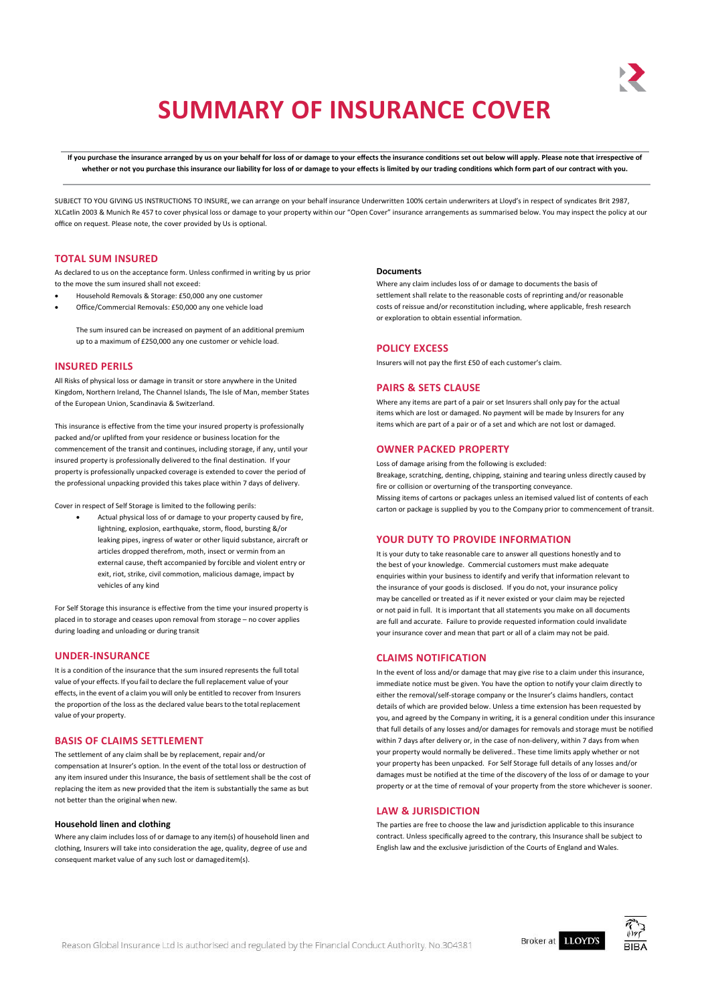# **SUMMARY OF INSURANCE COVER**

If you purchase the insurance arranged by us on your behalf for loss of or damage to your effects the insurance conditions set out below will apply. Please note that irrespective of whether or not you purchase this insurance our liability for loss of or damage to your effects is limited by our trading conditions which form part of our contract with you.

SUBJECT TO YOU GIVING US INSTRUCTIONS TO INSURE, we can arrange on your behalf insurance Underwritten 100% certain underwriters at Lloyd's in respect of syndicates Brit 2987, XLCatlin 2003 & Munich Re 457 to cover physical loss or damage to your property within our "Open Cover" insurance arrangements as summarised below. You may inspect the policy at our office on request. Please note, the cover provided by Us is optional.

## **TOTAL SUM INSURED**

As declared to us on the acceptance form. Unless confirmed in writing by us prior to the move the sum insured shall not exceed:

- Household Removals & Storage: £50,000 any one customer
- Office/Commercial Removals: £50,000 any one vehicle load

The sum insured can be increased on payment of an additional premium up to a maximum of £250,000 any one customer or vehicle load.

## **INSURED PERILS**

All Risks of physical loss or damage in transit or store anywhere in the United Kingdom, Northern Ireland, The Channel Islands, The Isle of Man, member States of the European Union, Scandinavia & Switzerland.

This insurance is effective from the time your insured property is professionally packed and/or uplifted from your residence or business location for the commencement of the transit and continues, including storage, if any, until your insured property is professionally delivered to the final destination. If your property is professionally unpacked coverage is extended to cover the period of the professional unpacking provided this takes place within 7 days of delivery.

Cover in respect of Self Storage is limited to the following perils:

 Actual physical loss of or damage to your property caused by fire, lightning, explosion, earthquake, storm, flood, bursting &/or leaking pipes, ingress of water or other liquid substance, aircraft or articles dropped therefrom, moth, insect or vermin from an external cause, theft accompanied by forcible and violent entry or exit, riot, strike, civil commotion, malicious damage, impact by vehicles of any kind

For Self Storage this insurance is effective from the time your insured property is placed in to storage and ceases upon removal from storage – no cover applies during loading and unloading or during transit

## **UNDER-INSURANCE**

It is a condition of the insurance that the sum insured represents the full total value of your effects. If you fail to declare the full replacement value of your effects, in the event of a claim you will only be entitled to recover from Insurers the proportion of the loss as the declared value bears to the total replacement value of your property.

## **BASIS OF CLAIMS SETTLEMENT**

The settlement of any claim shall be by replacement, repair and/or compensation at Insurer's option. In the event of the total loss or destruction of any item insured under this Insurance, the basis of settlement shall be the cost of replacing the item as new provided that the item is substantially the same as but not better than the original when new.

#### **Household linen and clothing**

Where any claim includes loss of or damage to any item(s) of household linen and clothing, Insurers will take into consideration the age, quality, degree of use and consequent market value of any such lost or damageditem(s).

## **Documents**

Where any claim includes loss of or damage to documents the basis of settlement shall relate to the reasonable costs of reprinting and/or reasonable costs of reissue and/or reconstitution including, where applicable, fresh research or exploration to obtain essential information.

## **POLICY EXCESS**

Insurers will not pay the first £50 of each customer's claim.

## **PAIRS & SETS CLAUSE**

Where any items are part of a pair or set Insurers shall only pay for the actual items which are lost or damaged. No payment will be made by Insurers for any items which are part of a pair or of a set and which are not lost or damaged.

#### **OWNER PACKED PROPERTY**

Loss of damage arising from the following is excluded: Breakage, scratching, denting, chipping, staining and tearing unless directly caused by fire or collision or overturning of the transporting conveyance. Missing items of cartons or packages unless an itemised valued list of contents of each carton or package is supplied by you to the Company prior to commencement of transit.

## **YOUR DUTY TO PROVIDE INFORMATION**

It is your duty to take reasonable care to answer all questions honestly and to the best of your knowledge. Commercial customers must make adequate enquiries within your business to identify and verify that information relevant to the insurance of your goods is disclosed. If you do not, your insurance policy may be cancelled or treated as if it never existed or your claim may be rejected or not paid in full. It is important that all statements you make on all documents are full and accurate. Failure to provide requested information could invalidate your insurance cover and mean that part or all of a claim may not be paid.

## **CLAIMS NOTIFICATION**

In the event of loss and/or damage that may give rise to a claim under this insurance, immediate notice must be given. You have the option to notify your claim directly to either the removal/self-storage company or the Insurer's claims handlers, contact details of which are provided below. Unless a time extension has been requested by you, and agreed by the Company in writing, it is a general condition under this insurance that full details of any losses and/or damages for removals and storage must be notified within 7 days after delivery or, in the case of non-delivery, within 7 days from when your property would normally be delivered.. These time limits apply whether or not your property has been unpacked. For Self Storage full details of any losses and/or damages must be notified at the time of the discovery of the loss of or damage to your property or at the time of removal of your property from the store whichever is sooner.

#### **LAW & JURISDICTION**

The parties are free to choose the law and jurisdiction applicable to this insurance contract. Unless specifically agreed to the contrary, this Insurance shall be subject to English law and the exclusive jurisdiction of the Courts of England and Wales.